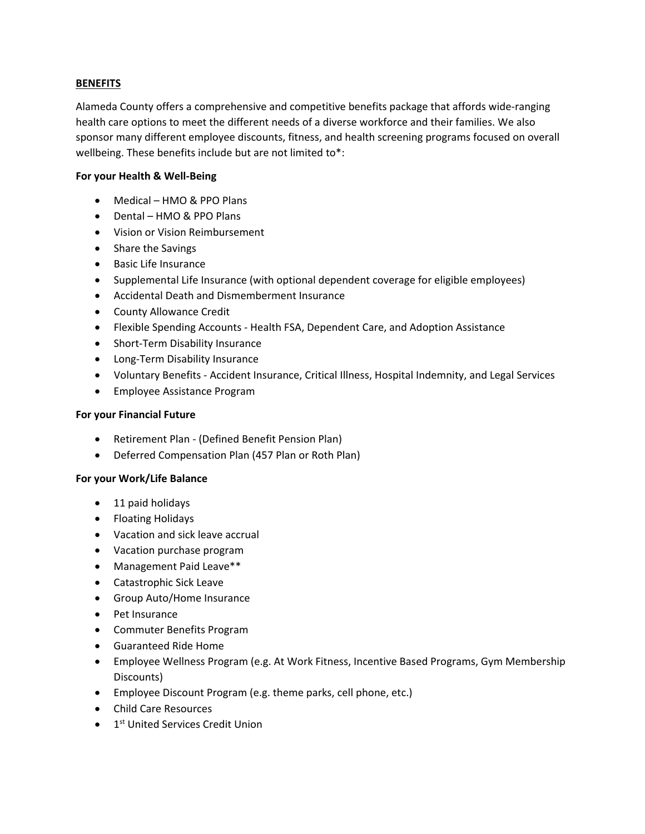## **BENEFITS**

Alameda County offers a comprehensive and competitive benefits package that affords wide-ranging health care options to meet the different needs of a diverse workforce and their families. We also sponsor many different employee discounts, fitness, and health screening programs focused on overall wellbeing. These benefits include but are not limited to\*:

## **For your Health & Well-Being**

- Medical HMO & PPO Plans
- Dental HMO & PPO Plans
- Vision or Vision Reimbursement
- Share the Savings
- Basic Life Insurance
- Supplemental Life Insurance (with optional dependent coverage for eligible employees)
- Accidental Death and Dismemberment Insurance
- County Allowance Credit
- Flexible Spending Accounts Health FSA, Dependent Care, and Adoption Assistance
- Short-Term Disability Insurance
- Long-Term Disability Insurance
- Voluntary Benefits Accident Insurance, Critical Illness, Hospital Indemnity, and Legal Services
- Employee Assistance Program

## **For your Financial Future**

- Retirement Plan (Defined Benefit Pension Plan)
- Deferred Compensation Plan (457 Plan or Roth Plan)

## **For your Work/Life Balance**

- 11 paid holidays
- Floating Holidays
- Vacation and sick leave accrual
- Vacation purchase program
- Management Paid Leave\*\*
- Catastrophic Sick Leave
- Group Auto/Home Insurance
- Pet Insurance
- Commuter Benefits Program
- Guaranteed Ride Home
- Employee Wellness Program (e.g. At Work Fitness, Incentive Based Programs, Gym Membership Discounts)
- Employee Discount Program (e.g. theme parks, cell phone, etc.)
- Child Care Resources
- 1<sup>st</sup> United Services Credit Union